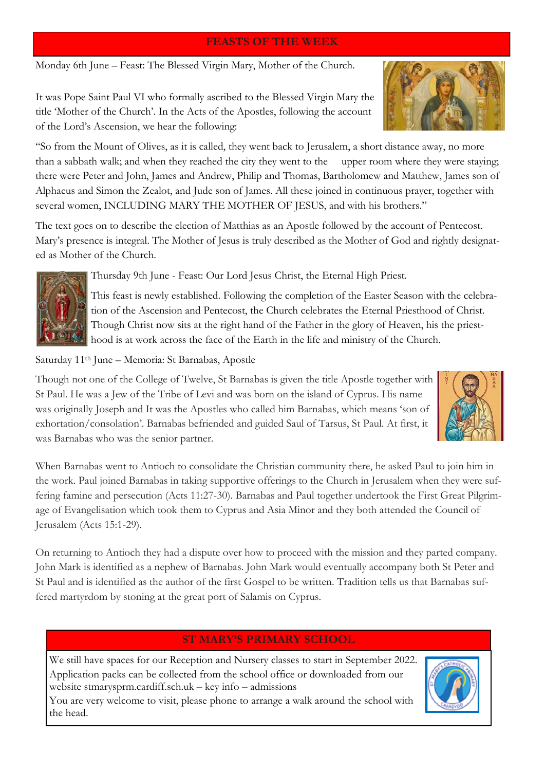## **FEASTS OF THE WEEK**

Monday 6th June – Feast: The Blessed Virgin Mary, Mother of the Church.

It was Pope Saint Paul VI who formally ascribed to the Blessed Virgin Mary the title 'Mother of the Church'. In the Acts of the Apostles, following the account of the Lord's Ascension, we hear the following:

"So from the Mount of Olives, as it is called, they went back to Jerusalem, a short distance away, no more than a sabbath walk; and when they reached the city they went to the upper room where they were staying; there were Peter and John, James and Andrew, Philip and Thomas, Bartholomew and Matthew, James son of Alphaeus and Simon the Zealot, and Jude son of James. All these joined in continuous prayer, together with several women, INCLUDING MARY THE MOTHER OF JESUS, and with his brothers."

The text goes on to describe the election of Matthias as an Apostle followed by the account of Pentecost. Mary's presence is integral. The Mother of Jesus is truly described as the Mother of God and rightly designated as Mother of the Church.



Thursday 9th June - Feast: Our Lord Jesus Christ, the Eternal High Priest.

This feast is newly established. Following the completion of the Easter Season with the celebration of the Ascension and Pentecost, the Church celebrates the Eternal Priesthood of Christ. Though Christ now sits at the right hand of the Father in the glory of Heaven, his the priesthood is at work across the face of the Earth in the life and ministry of the Church.

Saturday 11th June – Memoria: St Barnabas, Apostle

Though not one of the College of Twelve, St Barnabas is given the title Apostle together with St Paul. He was a Jew of the Tribe of Levi and was born on the island of Cyprus. His name was originally Joseph and It was the Apostles who called him Barnabas, which means 'son of exhortation/consolation'. Barnabas befriended and guided Saul of Tarsus, St Paul. At first, it was Barnabas who was the senior partner.



When Barnabas went to Antioch to consolidate the Christian community there, he asked Paul to join him in the work. Paul joined Barnabas in taking supportive offerings to the Church in Jerusalem when they were suffering famine and persecution (Acts 11:27-30). Barnabas and Paul together undertook the First Great Pilgrimage of Evangelisation which took them to Cyprus and Asia Minor and they both attended the Council of Jerusalem (Acts 15:1-29).

On returning to Antioch they had a dispute over how to proceed with the mission and they parted company. John Mark is identified as a nephew of Barnabas. John Mark would eventually accompany both St Peter and St Paul and is identified as the author of the first Gospel to be written. Tradition tells us that Barnabas suffered martyrdom by stoning at the great port of Salamis on Cyprus.

# **ST MARY'S PRIMARY SCHOOL**

We still have spaces for our Reception and Nursery classes to start in September 2022. Application packs can be collected from the school office or downloaded from our website stmarysprm.cardiff.sch.uk – key info – admissions



You are very welcome to visit, please phone to arrange a walk around the school with the head.